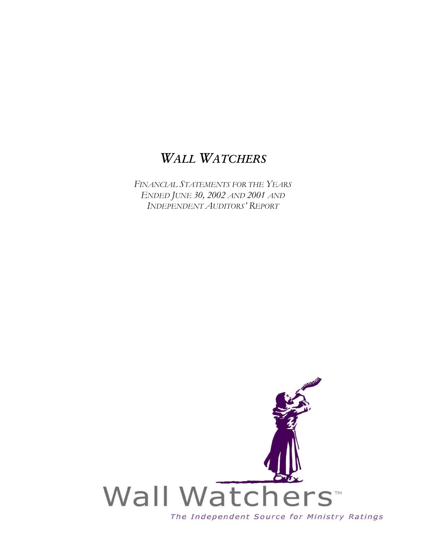*FINANCIAL STATEMENTS FOR THE YEARS ENDED JUNE 30, 2002 AND 2001 AND INDEPENDENT AUDITORS' REPORT*

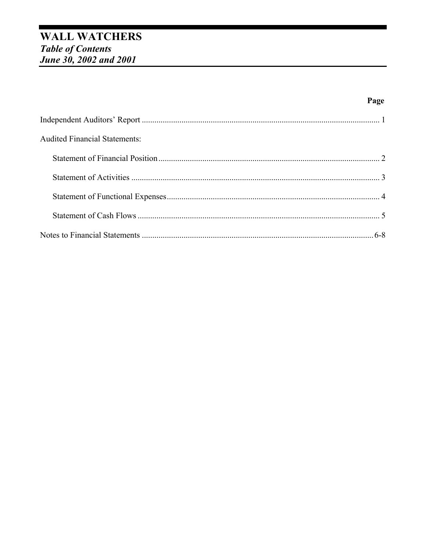# **WALL WATCHERS** Table of Contents<br>June 30, 2002 and 2001

| <b>Audited Financial Statements:</b> |  |
|--------------------------------------|--|
|                                      |  |
|                                      |  |
|                                      |  |
|                                      |  |
|                                      |  |

Page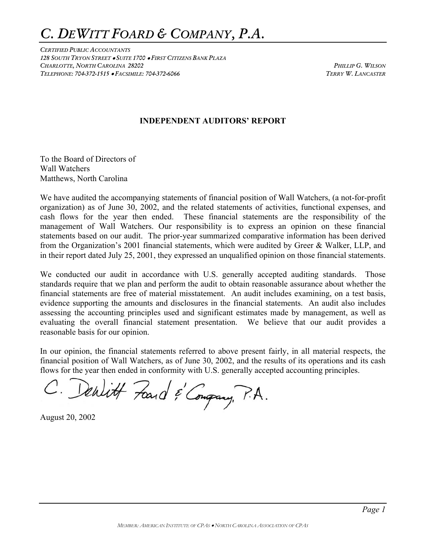### *C. DEWITT FOARD & COMPANY, P.A.*

*CERTIFIED PUBLIC ACCOUNTANTS 128 SOUTH TRYON STREET* • *SUITE 1700* • *FIRST CITIZENS BANK PLAZA CHARLOTTE, NORTH CAROLINA 28202 PHILLIP G. WILSON TELEPHONE: 704-372-1515* • *FACSIMILE: 704-372-6066 TERRY W. LANCASTER*

#### **INDEPENDENT AUDITORS' REPORT**

To the Board of Directors of Wall Watchers Matthews, North Carolina

We have audited the accompanying statements of financial position of Wall Watchers, (a not-for-profit organization) as of June 30, 2002, and the related statements of activities, functional expenses, and cash flows for the year then ended. These financial statements are the responsibility of the management of Wall Watchers. Our responsibility is to express an opinion on these financial statements based on our audit. The prior-year summarized comparative information has been derived from the Organization's 2001 financial statements, which were audited by Greer & Walker, LLP, and in their report dated July 25, 2001, they expressed an unqualified opinion on those financial statements.

We conducted our audit in accordance with U.S. generally accepted auditing standards. Those standards require that we plan and perform the audit to obtain reasonable assurance about whether the financial statements are free of material misstatement. An audit includes examining, on a test basis, evidence supporting the amounts and disclosures in the financial statements. An audit also includes assessing the accounting principles used and significant estimates made by management, as well as evaluating the overall financial statement presentation. We believe that our audit provides a reasonable basis for our opinion.

In our opinion, the financial statements referred to above present fairly, in all material respects, the financial position of Wall Watchers, as of June 30, 2002, and the results of its operations and its cash flows for the year then ended in conformity with U.S. generally accepted accounting principles.

C. Denlitt Fand & Congrang, P.A.

August 20, 2002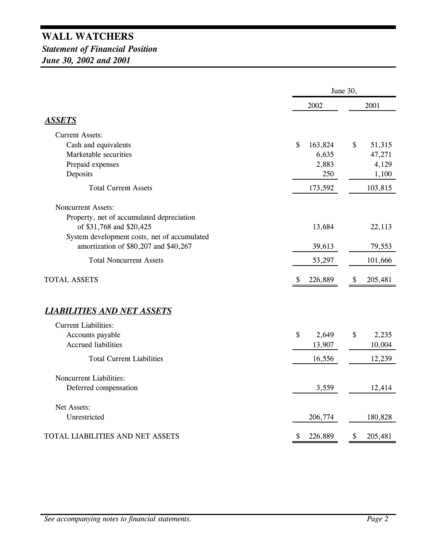*Statement of Financial Position June 30, 2002 and 2001*

|                                                                       | June 30,                |               |  |
|-----------------------------------------------------------------------|-------------------------|---------------|--|
|                                                                       | 2002                    | 2001          |  |
| <b>ASSETS</b>                                                         |                         |               |  |
| <b>Current Assets:</b>                                                |                         |               |  |
| Cash and equivalents                                                  | \$<br>163,824           | \$<br>51,315  |  |
| Marketable securities                                                 | 6,635                   | 47,271        |  |
| Prepaid expenses                                                      | 2,883                   | 4,129         |  |
| Deposits                                                              | 250                     | 1,100         |  |
| <b>Total Current Assets</b>                                           | 173,592                 | 103,815       |  |
| <b>Noncurrent Assets:</b>                                             |                         |               |  |
| Property, net of accumulated depreciation<br>of \$31,768 and \$20,425 | 13,684                  | 22,113        |  |
| System development costs, net of accumulated                          |                         |               |  |
| amortization of \$80,207 and \$40,267                                 | 39,613                  | 79,553        |  |
| <b>Total Noncurrent Assets</b>                                        | 53,297                  | 101,666       |  |
| <b>TOTAL ASSETS</b>                                                   | 226,889<br><sup>8</sup> | 205,481<br>\$ |  |
| <b>LIABILITIES AND NET ASSETS</b>                                     |                         |               |  |
| <b>Current Liabilities:</b>                                           |                         |               |  |
| Accounts payable                                                      | \$<br>2,649             | \$<br>2,235   |  |
| <b>Accrued liabilities</b>                                            | 13,907                  | 10,004        |  |
| <b>Total Current Liabilities</b>                                      | 16,556                  | 12,239        |  |
| Noncurrent Liabilities:                                               |                         |               |  |
| Deferred compensation                                                 | 3,559                   | 12,414        |  |
| Net Assets:                                                           |                         |               |  |
| Unrestricted                                                          | 206,774                 | 180,828       |  |
| TOTAL LIABILITIES AND NET ASSETS                                      | 226,889<br>\$           | \$<br>205,481 |  |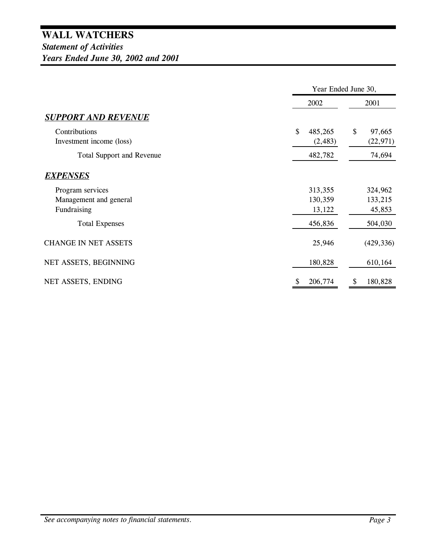|                                           | Year Ended June 30,       |                           |  |
|-------------------------------------------|---------------------------|---------------------------|--|
|                                           | 2002                      | 2001                      |  |
| <b>SUPPORT AND REVENUE</b>                |                           |                           |  |
| Contributions<br>Investment income (loss) | \$<br>485,265<br>(2, 483) | \$<br>97,665<br>(22, 971) |  |
| <b>Total Support and Revenue</b>          | 482,782                   | 74,694                    |  |
| <b>EXPENSES</b>                           |                           |                           |  |
| Program services                          | 313,355                   | 324,962                   |  |
| Management and general                    | 130,359                   | 133,215                   |  |
| Fundraising                               | 13,122                    | 45,853                    |  |
| <b>Total Expenses</b>                     | 456,836                   | 504,030                   |  |
| <b>CHANGE IN NET ASSETS</b>               | 25,946                    | (429, 336)                |  |
| NET ASSETS, BEGINNING                     | 180,828                   | 610,164                   |  |
| NET ASSETS, ENDING                        | 206,774<br>\$             | 180,828<br>\$             |  |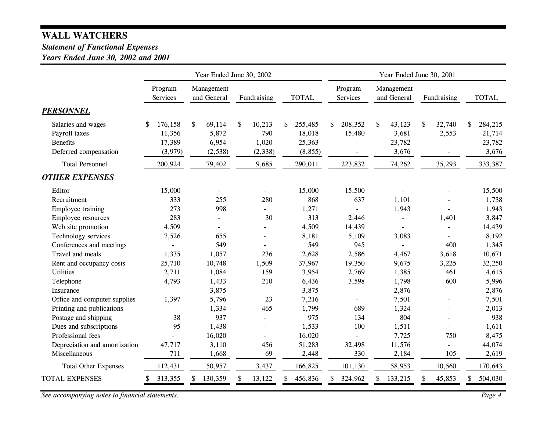#### *Statement of Functional Expenses*

*Years Ended June 30, 2002 and 2001*

|                                                                                 | Year Ended June 30, 2002                    |                                            |                                          |                                               |                            | Year Ended June 30, 2001                 |                       |                                            |
|---------------------------------------------------------------------------------|---------------------------------------------|--------------------------------------------|------------------------------------------|-----------------------------------------------|----------------------------|------------------------------------------|-----------------------|--------------------------------------------|
|                                                                                 | Program<br>Services                         | Management<br>and General                  | Fundraising                              | <b>TOTAL</b>                                  | Program<br><b>Services</b> | Management<br>and General                | Fundraising           | <b>TOTAL</b>                               |
| <b>PERSONNEL</b>                                                                |                                             |                                            |                                          |                                               |                            |                                          |                       |                                            |
| Salaries and wages<br>Payroll taxes<br><b>Benefits</b><br>Deferred compensation | 176,158<br>S<br>11,356<br>17,389<br>(3,979) | \$<br>69,114<br>5,872<br>6,954<br>(2, 538) | \$<br>10,213<br>790<br>1,020<br>(2, 338) | 255,485<br>\$<br>18,018<br>25,363<br>(8, 855) | 208,352<br>\$<br>15,480    | \$<br>43,123<br>3,681<br>23,782<br>3,676 | \$<br>32,740<br>2,553 | 284,215<br>\$<br>21,714<br>23,782<br>3,676 |
| <b>Total Personnel</b>                                                          | 200,924                                     | 79,402                                     | 9,685                                    | 290,011                                       | 223,832                    | 74,262                                   | 35,293                | 333,387                                    |
| <b>OTHER EXPENSES</b>                                                           |                                             |                                            |                                          |                                               |                            |                                          |                       |                                            |
| Editor                                                                          | 15,000                                      |                                            |                                          | 15,000                                        | 15,500                     |                                          |                       | 15,500                                     |
| Recruitment                                                                     | 333                                         | 255                                        | 280                                      | 868                                           | 637                        | 1,101                                    |                       | 1,738                                      |
| Employee training                                                               | 273                                         | 998                                        | $\overline{\phantom{0}}$                 | 1,271                                         |                            | 1,943                                    |                       | 1,943                                      |
| Employee resources                                                              | 283                                         |                                            | 30                                       | 313                                           | 2,446                      | $\sim$                                   | 1,401                 | 3,847                                      |
| Web site promotion                                                              | 4,509                                       |                                            |                                          | 4,509                                         | 14,439                     |                                          |                       | 14,439                                     |
| Technology services                                                             | 7,526                                       | 655                                        | $\overline{a}$                           | 8,181                                         | 5,109                      | 3,083                                    |                       | 8,192                                      |
| Conferences and meetings                                                        |                                             | 549                                        |                                          | 549                                           | 945                        | $\overline{\phantom{a}}$                 | 400                   | 1,345                                      |
| Travel and meals                                                                | 1,335                                       | 1,057                                      | 236                                      | 2,628                                         | 2,586                      | 4,467                                    | 3,618                 | 10,671                                     |
| Rent and occupancy costs                                                        | 25,710                                      | 10,748                                     | 1,509                                    | 37,967                                        | 19,350                     | 9,675                                    | 3,225                 | 32,250                                     |
| <b>Utilities</b>                                                                | 2,711                                       | 1,084                                      | 159                                      | 3,954                                         | 2,769                      | 1,385                                    | 461                   | 4,615                                      |
| Telephone<br>Insurance                                                          | 4,793<br>$\overline{a}$                     | 1,433<br>3,875                             | 210                                      | 6,436<br>3,875                                | 3,598                      | 1,798<br>2,876                           | 600<br>$\overline{a}$ | 5,996                                      |
| Office and computer supplies                                                    | 1,397                                       | 5,796                                      | $\overline{\phantom{0}}$<br>23           | 7,216                                         | $\sim$                     | 7,501                                    |                       | 2,876<br>7,501                             |
| Printing and publications                                                       |                                             | 1,334                                      | 465                                      | 1,799                                         | 689                        | 1,324                                    |                       | 2,013                                      |
| Postage and shipping                                                            | 38                                          | 937                                        | $\overline{a}$                           | 975                                           | 134                        | 804                                      |                       | 938                                        |
| Dues and subscriptions                                                          | 95                                          | 1,438                                      |                                          | 1,533                                         | 100                        | 1,511                                    |                       | 1,611                                      |
| Professional fees                                                               |                                             | 16,020                                     |                                          | 16,020                                        |                            | 7,725                                    | 750                   | 8,475                                      |
| Depreciation and amortization                                                   | 47,717                                      | 3,110                                      | 456                                      | 51,283                                        | 32,498                     | 11,576                                   |                       | 44,074                                     |
| Miscellaneous                                                                   | 711                                         | 1,668                                      | 69                                       | 2,448                                         | 330                        | 2,184                                    | 105                   | 2,619                                      |
|                                                                                 |                                             |                                            |                                          |                                               |                            |                                          |                       |                                            |
| <b>Total Other Expenses</b>                                                     | 112,431                                     | 50,957                                     | 3,437                                    | 166,825                                       | 101,130                    | 58,953                                   | 10,560                | 170,643                                    |
| <b>TOTAL EXPENSES</b>                                                           | \$<br>313,355                               | \$<br>130,359                              | 13,122                                   | 456,836<br>\$                                 | 324,962<br>S               | 133,215<br>S.                            | \$<br>45,853          | 504,030                                    |

*See accompanying notes to financial statements. Page 4*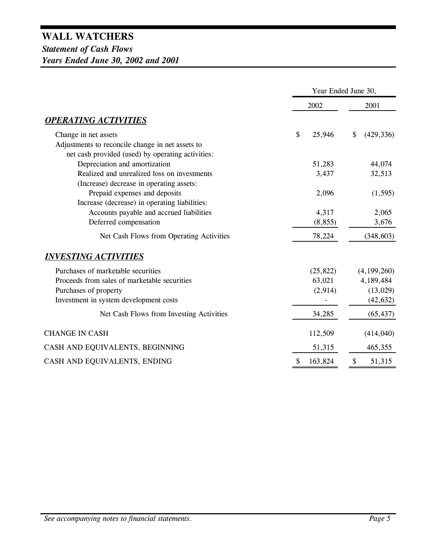*Statement of Cash Flows Years Ended June 30, 2002 and 2001*

|                                                   | Year Ended June 30, |                  |  |
|---------------------------------------------------|---------------------|------------------|--|
|                                                   | 2002                | 2001             |  |
| <b>OPERATING ACTIVITIES</b>                       |                     |                  |  |
| Change in net assets                              | \$<br>25,946        | \$<br>(429, 336) |  |
| Adjustments to reconcile change in net assets to  |                     |                  |  |
| net cash provided (used) by operating activities: |                     |                  |  |
| Depreciation and amortization                     | 51,283              | 44,074           |  |
| Realized and unrealized loss on investments       | 3,437               | 32,513           |  |
| (Increase) decrease in operating assets:          |                     |                  |  |
| Prepaid expenses and deposits                     | 2,096               | (1, 595)         |  |
| Increase (decrease) in operating liabilities:     |                     |                  |  |
| Accounts payable and accrued liabilities          | 4,317               | 2,065            |  |
| Deferred compensation                             | (8, 855)            | 3,676            |  |
| Net Cash Flows from Operating Activities          | 78,224              | (348, 603)       |  |
| <b>INVESTING ACTIVITIES</b>                       |                     |                  |  |
| Purchases of marketable securities                | (25, 822)           | (4,199,260)      |  |
| Proceeds from sales of marketable securities      | 63,021              | 4,189,484        |  |
| Purchases of property                             | (2,914)             | (13,029)         |  |
| Investment in system development costs            |                     | (42, 632)        |  |
| Net Cash Flows from Investing Activities          | 34,285              | (65, 437)        |  |
| <b>CHANGE IN CASH</b>                             | 112,509             | (414, 040)       |  |
| CASH AND EQUIVALENTS, BEGINNING                   | 51,315              | 465,355          |  |
| CASH AND EQUIVALENTS, ENDING                      | 163,824<br>\$       | \$<br>51,315     |  |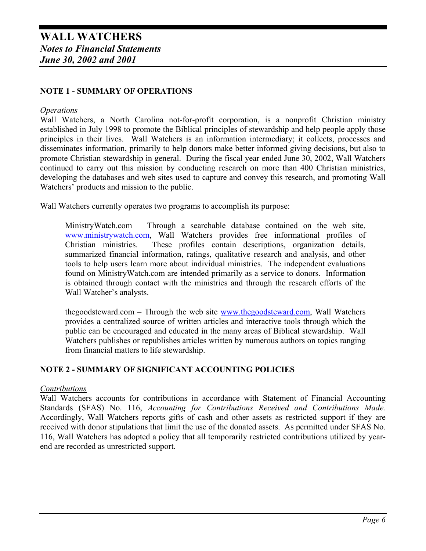#### **NOTE 1 - SUMMARY OF OPERATIONS**

#### *Operations*

Wall Watchers, a North Carolina not-for-profit corporation, is a nonprofit Christian ministry established in July 1998 to promote the Biblical principles of stewardship and help people apply those principles in their lives. Wall Watchers is an information intermediary; it collects, processes and disseminates information, primarily to help donors make better informed giving decisions, but also to promote Christian stewardship in general. During the fiscal year ended June 30, 2002, Wall Watchers continued to carry out this mission by conducting research on more than 400 Christian ministries, developing the databases and web sites used to capture and convey this research, and promoting Wall Watchers' products and mission to the public.

Wall Watchers currently operates two programs to accomplish its purpose:

MinistryWatch.com – Through a searchable database contained on the web site, www.ministrywatch.com, Wall Watchers provides free informational profiles of Christian ministries. These profiles contain descriptions, organization details, summarized financial information, ratings, qualitative research and analysis, and other tools to help users learn more about individual ministries. The independent evaluations found on MinistryWatch.com are intended primarily as a service to donors. Information is obtained through contact with the ministries and through the research efforts of the Wall Watcher's analysts.

thegoodsteward.com – Through the web site www.thegoodsteward.com, Wall Watchers provides a centralized source of written articles and interactive tools through which the public can be encouraged and educated in the many areas of Biblical stewardship. Wall Watchers publishes or republishes articles written by numerous authors on topics ranging from financial matters to life stewardship.

#### **NOTE 2 - SUMMARY OF SIGNIFICANT ACCOUNTING POLICIES**

#### *Contributions*

Wall Watchers accounts for contributions in accordance with Statement of Financial Accounting Standards (SFAS) No. 116, *Accounting for Contributions Received and Contributions Made.* Accordingly, Wall Watchers reports gifts of cash and other assets as restricted support if they are received with donor stipulations that limit the use of the donated assets. As permitted under SFAS No. 116, Wall Watchers has adopted a policy that all temporarily restricted contributions utilized by yearend are recorded as unrestricted support.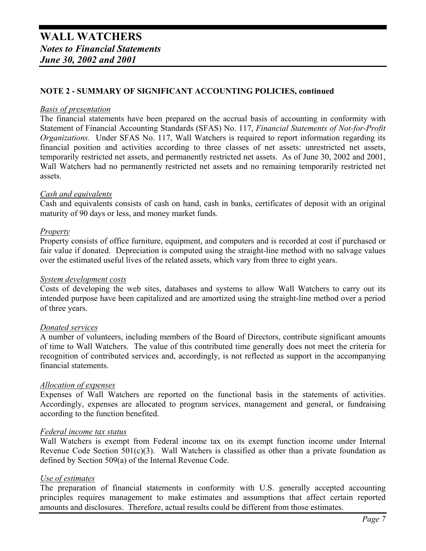#### **NOTE 2 - SUMMARY OF SIGNIFICANT ACCOUNTING POLICIES, continued**

#### *Basis of presentation*

The financial statements have been prepared on the accrual basis of accounting in conformity with Statement of Financial Accounting Standards (SFAS) No. 117, *Financial Statements of Not-for-Profit Organizations.* Under SFAS No. 117, Wall Watchers is required to report information regarding its financial position and activities according to three classes of net assets: unrestricted net assets, temporarily restricted net assets, and permanently restricted net assets. As of June 30, 2002 and 2001, Wall Watchers had no permanently restricted net assets and no remaining temporarily restricted net assets.

#### *Cash and equivalents*

Cash and equivalents consists of cash on hand, cash in banks, certificates of deposit with an original maturity of 90 days or less, and money market funds.

#### *Property*

Property consists of office furniture, equipment, and computers and is recorded at cost if purchased or fair value if donated. Depreciation is computed using the straight-line method with no salvage values over the estimated useful lives of the related assets, which vary from three to eight years.

#### *System development costs*

Costs of developing the web sites, databases and systems to allow Wall Watchers to carry out its intended purpose have been capitalized and are amortized using the straight-line method over a period of three years.

#### *Donated services*

A number of volunteers, including members of the Board of Directors, contribute significant amounts of time to Wall Watchers. The value of this contributed time generally does not meet the criteria for recognition of contributed services and, accordingly, is not reflected as support in the accompanying financial statements.

#### *Allocation of expenses*

Expenses of Wall Watchers are reported on the functional basis in the statements of activities. Accordingly, expenses are allocated to program services, management and general, or fundraising according to the function benefited.

#### *Federal income tax status*

Wall Watchers is exempt from Federal income tax on its exempt function income under Internal Revenue Code Section  $501(c)(3)$ . Wall Watchers is classified as other than a private foundation as defined by Section 509(a) of the Internal Revenue Code.

#### *Use of estimates*

The preparation of financial statements in conformity with U.S. generally accepted accounting principles requires management to make estimates and assumptions that affect certain reported amounts and disclosures. Therefore, actual results could be different from those estimates.